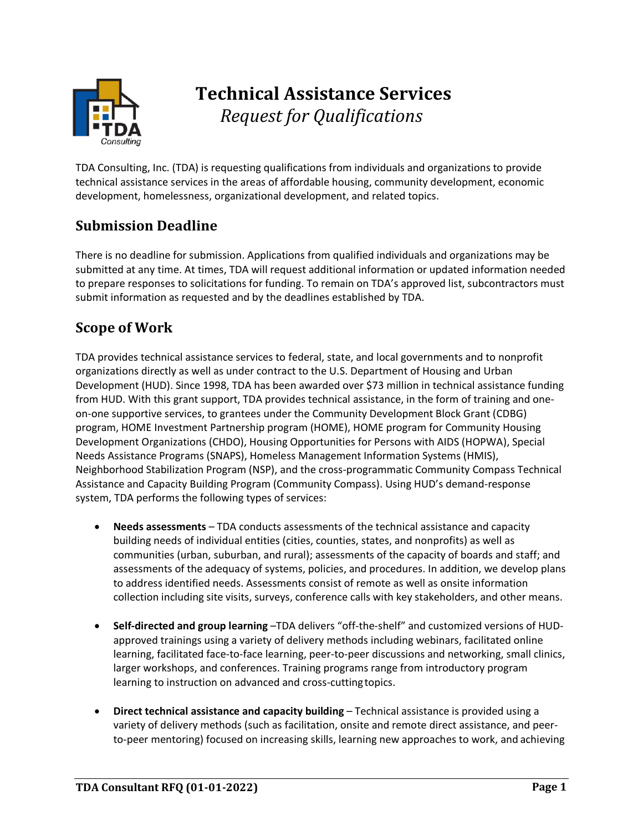

# **Technical Assistance Services** *Request for Qualifications*

TDA Consulting, Inc. (TDA) is requesting qualifications from individuals and organizations to provide technical assistance services in the areas of affordable housing, community development, economic development, homelessness, organizational development, and related topics.

## **Submission Deadline**

There is no deadline for submission. Applications from qualified individuals and organizations may be submitted at any time. At times, TDA will request additional information or updated information needed to prepare responses to solicitations for funding. To remain on TDA's approved list, subcontractors must submit information as requested and by the deadlines established by TDA.

## **Scope of Work**

TDA provides technical assistance services to federal, state, and local governments and to nonprofit organizations directly as well as under contract to the U.S. Department of Housing and Urban Development (HUD). Since 1998, TDA has been awarded over \$73 million in technical assistance funding from HUD. With this grant support, TDA provides technical assistance, in the form of training and oneon-one supportive services, to grantees under the Community Development Block Grant (CDBG) program, HOME Investment Partnership program (HOME), HOME program for Community Housing Development Organizations (CHDO), Housing Opportunities for Persons with AIDS (HOPWA), Special Needs Assistance Programs (SNAPS), Homeless Management Information Systems (HMIS), Neighborhood Stabilization Program (NSP), and the cross-programmatic Community Compass Technical Assistance and Capacity Building Program (Community Compass). Using HUD's demand-response system, TDA performs the following types of services:

- **Needs assessments**  TDA conducts assessments of the technical assistance and capacity building needs of individual entities (cities, counties, states, and nonprofits) as well as communities (urban, suburban, and rural); assessments of the capacity of boards and staff; and assessments of the adequacy of systems, policies, and procedures. In addition, we develop plans to address identified needs. Assessments consist of remote as well as onsite information collection including site visits, surveys, conference calls with key stakeholders, and other means.
- **Self-directed and group learning** –TDA delivers "off-the-shelf" and customized versions of HUDapproved trainings using a variety of delivery methods including webinars, facilitated online learning, facilitated face-to-face learning, peer-to-peer discussions and networking, small clinics, larger workshops, and conferences. Training programs range from introductory program learning to instruction on advanced and cross-cuttingtopics.
- **Direct technical assistance and capacity building**  Technical assistance is provided using a variety of delivery methods (such as facilitation, onsite and remote direct assistance, and peerto-peer mentoring) focused on increasing skills, learning new approaches to work, and achieving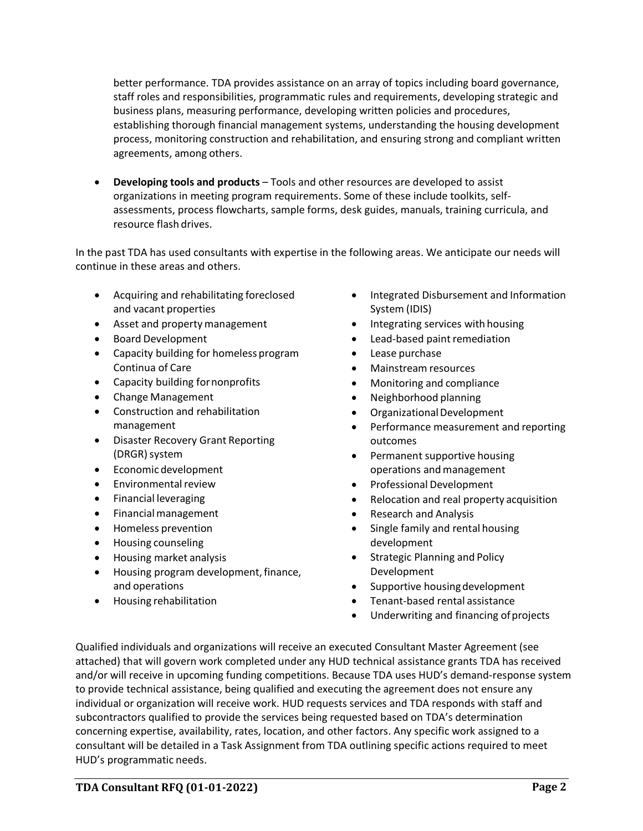better performance. TDA provides assistance on an array of topics including board governance, staff roles and responsibilities, programmatic rules and requirements, developing strategic and business plans, measuring performance, developing written policies and procedures, establishing thorough financial management systems, understanding the housing development process, monitoring construction and rehabilitation, and ensuring strong and compliant written agreements, among others.

• **Developing tools and products** – Tools and other resources are developed to assist organizations in meeting program requirements. Some of these include toolkits, selfassessments, process flowcharts, sample forms, desk guides, manuals, training curricula, and resource flash drives.

In the past TDA has used consultants with expertise in the following areas. We anticipate our needs will continue in these areas and others.

- Acquiring and rehabilitating foreclosed and vacant properties
- Asset and property management
- Board Development
- Capacity building for homeless program Continua of Care
- Capacity building fornonprofits
- Change Management
- Construction and rehabilitation management
- Disaster Recovery Grant Reporting (DRGR) system
- Economic development
- **Environmental review**
- Financial leveraging
- Financial management
- Homeless prevention
- Housing counseling
- Housing market analysis
- Housing program development, finance, and operations
- Housing rehabilitation
- Integrated Disbursement and Information System (IDIS)
- Integrating services with housing
- Lead-based paint remediation
- Lease purchase
- Mainstream resources
- Monitoring and compliance
- Neighborhood planning
- Organizational Development
- Performance measurement and reporting outcomes
- Permanent supportive housing operations andmanagement
- Professional Development
- Relocation and real property acquisition
- Research and Analysis
- Single family and rental housing development
- Strategic Planning and Policy Development
- Supportive housing development
- Tenant-based rental assistance
- Underwriting and financing of projects

Qualified individuals and organizations will receive an executed Consultant Master Agreement (see attached) that will govern work completed under any HUD technical assistance grants TDA has received and/or will receive in upcoming funding competitions. Because TDA uses HUD's demand-response system to provide technical assistance, being qualified and executing the agreement does not ensure any individual or organization will receive work. HUD requests services and TDA responds with staff and subcontractors qualified to provide the services being requested based on TDA's determination concerning expertise, availability, rates, location, and other factors. Any specific work assigned to a consultant will be detailed in a Task Assignment from TDA outlining specific actions required to meet HUD's programmatic needs.